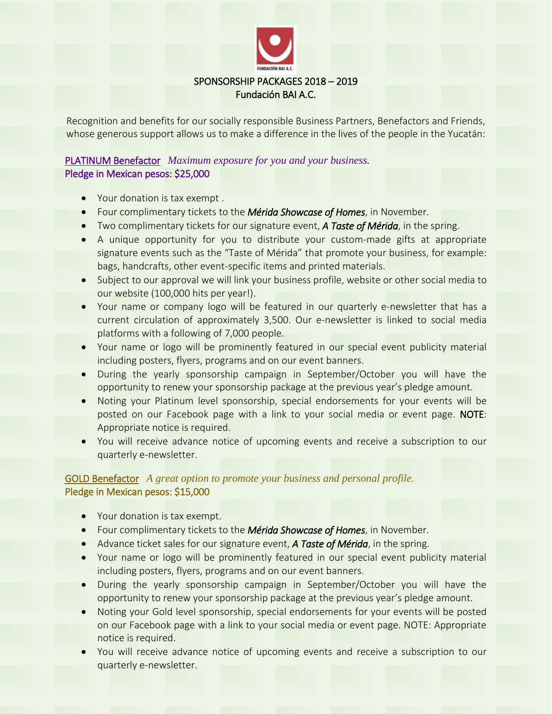

Recognition and benefits for our socially responsible Business Partners, Benefactors and Friends, whose generous support allows us to make a difference in the lives of the people in the Yucatán:

# PLATINUM Benefactor *Maximum exposure for you and your business.* Pledge in Mexican pesos: \$25,000

- Your donation is tax exempt .
- Four complimentary tickets to the *Mérida Showcase of Homes*, in November.
- Two complimentary tickets for our signature event, *A Taste of Mérida*, in the spring.
- A unique opportunity for you to distribute your custom-made gifts at appropriate signature events such as the "Taste of Mérida" that promote your business, for example: bags, handcrafts, other event-specific items and printed materials.
- Subject to our approval we will link your business profile, website or other social media to our website (100,000 hits per year!).
- Your name or company logo will be featured in our quarterly e-newsletter that has a current circulation of approximately 3,500. Our e-newsletter is linked to social media platforms with a following of 7,000 people.
- Your name or logo will be prominently featured in our special event publicity material including posters, flyers, programs and on our event banners.
- During the yearly sponsorship campaign in September/October you will have the opportunity to renew your sponsorship package at the previous year's pledge amount.
- Noting your Platinum level sponsorship, special endorsements for your events will be posted on our Facebook page with a link to your social media or event page. NOTE: Appropriate notice is required.
- You will receive advance notice of upcoming events and receive a subscription to our quarterly e-newsletter.

## GOLD Benefactor *A great option to promote your business and personal profile.* Pledge in Mexican pesos: \$15,000

- Your donation is tax exempt.
- Four complimentary tickets to the *Mérida Showcase of Homes*, in November.
- Advance ticket sales for our signature event, *A Taste of Mérida*, in the spring.
- Your name or logo will be prominently featured in our special event publicity material including posters, flyers, programs and on our event banners.
- During the yearly sponsorship campaign in September/October you will have the opportunity to renew your sponsorship package at the previous year's pledge amount.
- Noting your Gold level sponsorship, special endorsements for your events will be posted on our Facebook page with a link to your social media or event page. NOTE: Appropriate notice is required.
- You will receive advance notice of upcoming events and receive a subscription to our quarterly e-newsletter.